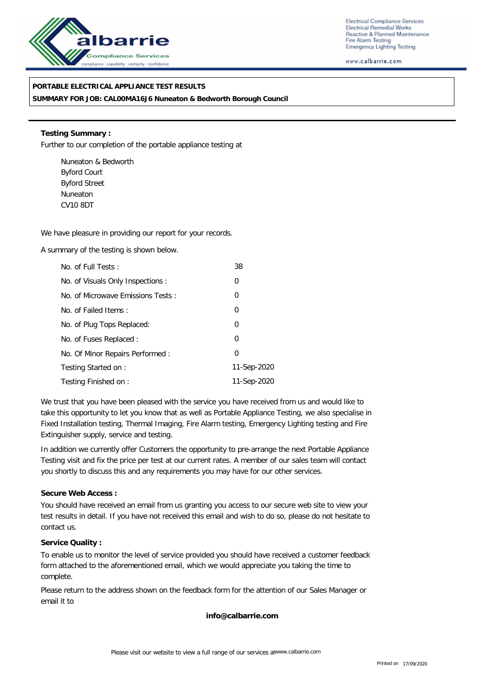

Electrical Compliance Services Electrical Remedial Works Reactive & Planned Maintenance Fire Alarm Testing **Emergency Lighting Testing** 

www.calbarrie.com

## **PORTABLE ELECTRICAL APPLIANCE TEST RESULTS**

**SUMMARY FOR JOB: CAL00MA16J6 Nuneaton & Bedworth Borough Council**

**Testing Summary :** Further to our completion of the portable appliance testing at

Nuneaton & Bedworth Byford Court Byford Street Nuneaton CV10 8DT

We have pleasure in providing our report for your records.

A summary of the testing is shown below.

| No. of Full Tests:                | 38          |
|-----------------------------------|-------------|
| No. of Visuals Only Inspections : | 0           |
| No. of Microwave Emissions Tests: | 0           |
| No. of Failed Items:              | 0           |
| No. of Plug Tops Replaced:        | 0           |
| No. of Fuses Replaced:            | 0           |
| No. Of Minor Repairs Performed:   | 0           |
| Testing Started on:               | 11-Sep-2020 |
| Testing Finished on:              | 11-Sep-2020 |

We trust that you have been pleased with the service you have received from us and would like to take this opportunity to let you know that as well as Portable Appliance Testing, we also specialise in Fixed Installation testing, Thermal Imaging, Fire Alarm testing, Emergency Lighting testing and Fire Extinguisher supply, service and testing.

In addition we currently offer Customers the opportunity to pre-arrange the next Portable Appliance Testing visit and fix the price per test at our current rates. A member of our sales team will contact you shortly to discuss this and any requirements you may have for our other services.

**Secure Web Access :**

You should have received an email from us granting you access to our secure web site to view your test results in detail. If you have not received this email and wish to do so, please do not hesitate to contact us.

**Service Quality :**

To enable us to monitor the level of service provided you should have received a customer feedback form attached to the aforementioned email, which we would appreciate you taking the time to complete.

Please return to the address shown on the feedback form for the attention of our Sales Manager or email it to

**info@calbarrie.com**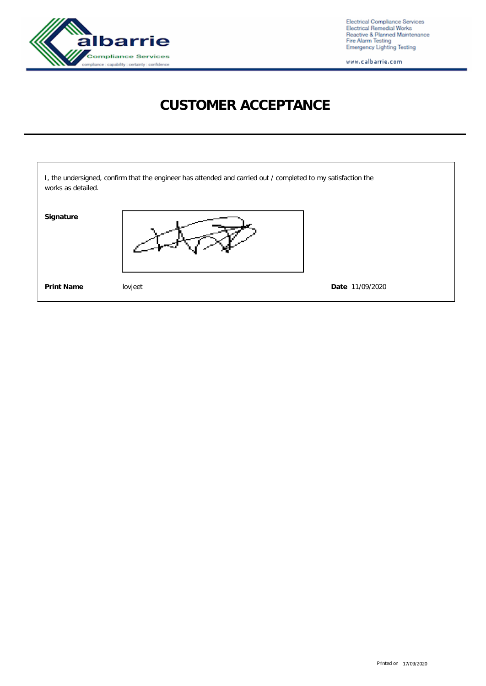

Electrical Compliance Services<br>Electrical Remedial Works<br>Reactive & Planned Maintenance<br>Fire Alarm Testing<br>Emergency Lighting Testing

www.calbarrie.com

## **CUSTOMER ACCEPTANCE**

| works as detailed. | I, the undersigned, confirm that the engineer has attended and carried out / completed to my satisfaction the |                 |
|--------------------|---------------------------------------------------------------------------------------------------------------|-----------------|
| Signature          |                                                                                                               |                 |
| <b>Print Name</b>  | lovjeet                                                                                                       | Date 11/09/2020 |